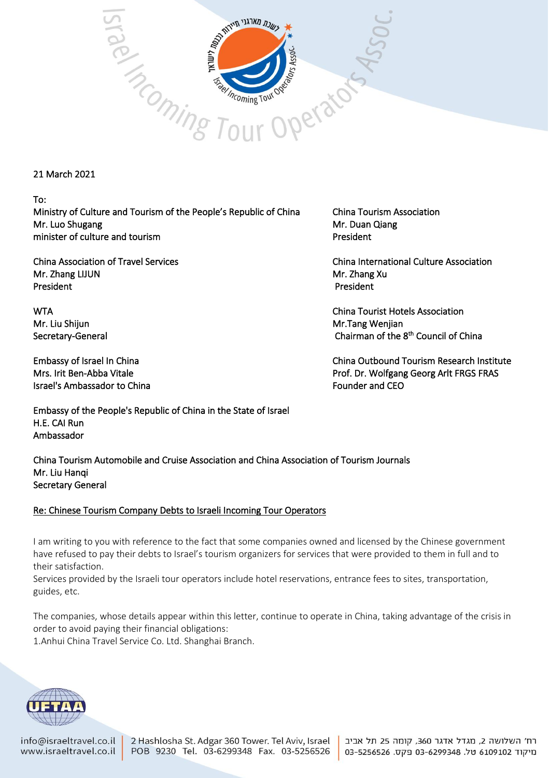

## 21 March 2021

To:

Ministry of Culture and Tourism of the People's Republic of China China Tourism Association Mr. Luo Shugang Material and the Control of the Control of the Mr. Duan Qiang minister of culture and tourism **President President** 

Mr. Zhang LIJUN Mr. Zhang Xu President President

Mr. Liu Shijun Mr.Tang Wenjian Secretary-General

Israel's Ambassador to China

China Association of Travel Services China International Culture Association

WTA China Tourist Hotels Association <sup>th</sup> Council of China

Embassy of Israel In China China Outbound Tourism Research Institute Mrs. Irit Ben-Abba Vitale **Prof. Dr. Wolfgang Georg Arlt FRGS FRAS**<br>
Israel's Ambassador to China **Profession Community Community** Founder and CEO

Embassy of the People's Republic of China in the State of Israel H.E. CAI Run Ambassador

 China Tourism Automobile and Cruise Association and China Association of Tourism Journals Mr. Liu Hangi Secretary General

## Re: Chinese Tourism Company Debts to Israeli Incoming Tour Operators

I am writing to you with reference to the fact that some companies owned and licensed by the Chinese government have refused to pay their debts to Israel's tourism organizers for services that were provided to them in full and to their satisfaction.

Services provided by the Israeli tour operators include hotel reservations, entrance fees to sites, transportation, guides, etc.

The companies, whose details appear within this letter, continue to operate in China, taking advantage of the crisis in order to avoid paying their financial obligations: 1.Anhui China Travel Service Co. Ltd. Shanghai Branch.



info@israeltravel.co.il www.israeltravel.co.il